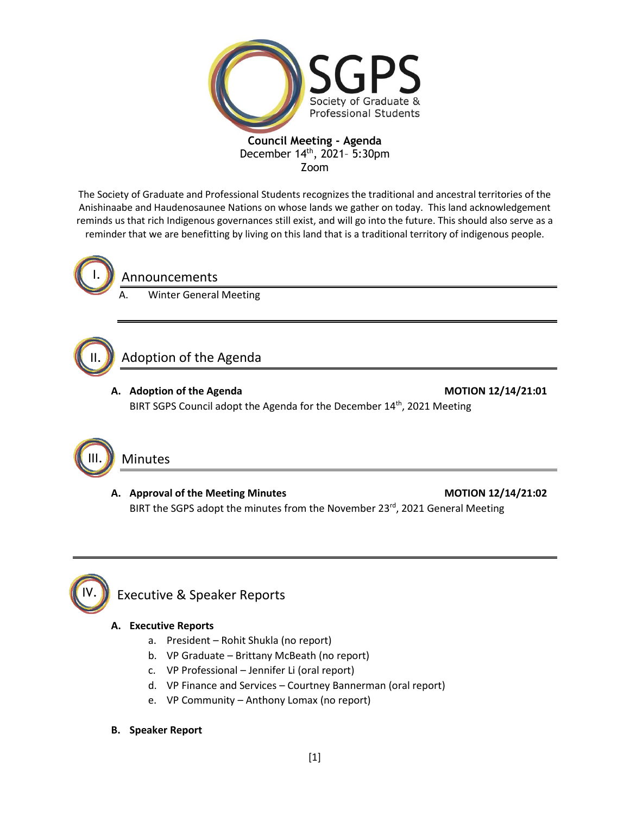

The Society of Graduate and Professional Students recognizes the traditional and ancestral territories of the Anishinaabe and Haudenosaunee Nations on whose lands we gather on today. This land acknowledgement reminds us that rich Indigenous governances still exist, and will go into the future. This should also serve as a reminder that we are benefitting by living on this land that is a traditional territory of indigenous people.



## Announcements

**Winter General Meeting** 

#### Adoption of the Agenda II.

**A. Adoption of the Agenda MOTION 12/14/21:01** BIRT SGPS Council adopt the Agenda for the December 14<sup>th</sup>, 2021 Meeting



## Minutes

A. Approval of the Meeting Minutes **MOTION 12/14/21:02** BIRT the SGPS adopt the minutes from the November 23rd, 2021 General Meeting



## **A. Executive Reports**

- a. President Rohit Shukla (no report)
- b. VP Graduate Brittany McBeath (no report)
- c. VP Professional Jennifer Li (oral report)
- d. VP Finance and Services Courtney Bannerman (oral report)
- e. VP Community Anthony Lomax (no report)
- **B. Speaker Report**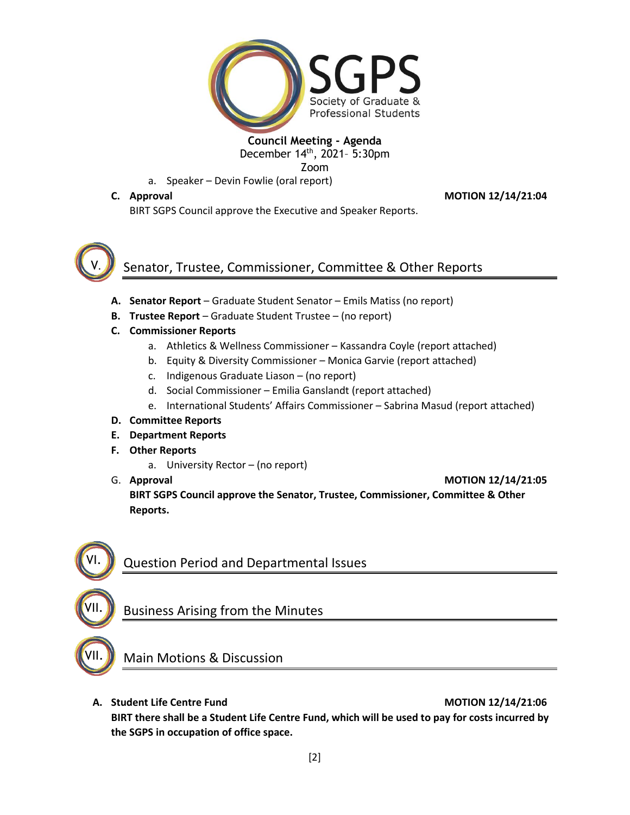

Zoom

a. Speaker – Devin Fowlie (oral report)

## **C. Approval MOTION 12/14/21:04**

BIRT SGPS Council approve the Executive and Speaker Reports.



# Senator, Trustee, Commissioner, Committee & Other Reports

- **A. Senator Report** Graduate Student Senator Emils Matiss (no report)
- **B. Trustee Report** Graduate Student Trustee (no report)
- **C. Commissioner Reports**
	- a. Athletics & Wellness Commissioner Kassandra Coyle (report attached)
	- b. Equity & Diversity Commissioner Monica Garvie (report attached)
	- c. Indigenous Graduate Liason (no report)
	- d. Social Commissioner Emilia Ganslandt (report attached)
	- e. International Students' Affairs Commissioner Sabrina Masud (report attached)

## **D. Committee Reports**

- **E. Department Reports**
- **F. Other Reports**
	- a. University Rector (no report)
- 

G. **Approval MOTION 12/14/21:05 BIRT SGPS Council approve the Senator, Trustee, Commissioner, Committee & Other Reports.**



VII.

Question Period and Departmental Issues

## Business Arising from the Minutes



Main Motions & Discussion

**A. Student Life Centre Fund MOTION 12/14/21:06**

**BIRT there shall be a Student Life Centre Fund, which will be used to pay for costs incurred by the SGPS in occupation of office space.**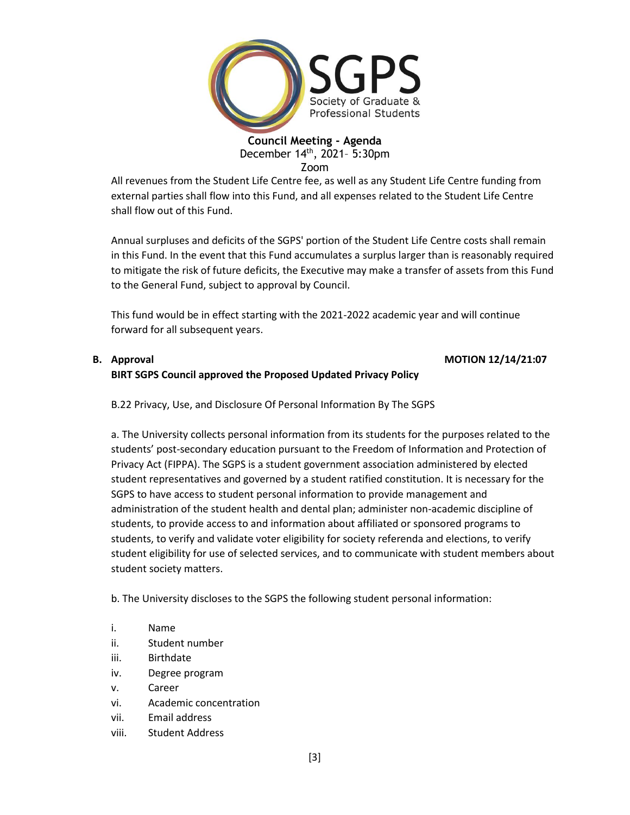

All revenues from the Student Life Centre fee, as well as any Student Life Centre funding from external parties shall flow into this Fund, and all expenses related to the Student Life Centre shall flow out of this Fund.

Annual surpluses and deficits of the SGPS' portion of the Student Life Centre costs shall remain in this Fund. In the event that this Fund accumulates a surplus larger than is reasonably required to mitigate the risk of future deficits, the Executive may make a transfer of assets from this Fund to the General Fund, subject to approval by Council.

This fund would be in effect starting with the 2021-2022 academic year and will continue forward for all subsequent years.

## **B. Approval MOTION 12/14/21:07 BIRT SGPS Council approved the Proposed Updated Privacy Policy**

B.22 Privacy, Use, and Disclosure Of Personal Information By The SGPS

a. The University collects personal information from its students for the purposes related to the students' post-secondary education pursuant to the Freedom of Information and Protection of Privacy Act (FIPPA). The SGPS is a student government association administered by elected student representatives and governed by a student ratified constitution. It is necessary for the SGPS to have access to student personal information to provide management and administration of the student health and dental plan; administer non-academic discipline of students, to provide access to and information about affiliated or sponsored programs to students, to verify and validate voter eligibility for society referenda and elections, to verify student eligibility for use of selected services, and to communicate with student members about student society matters.

b. The University discloses to the SGPS the following student personal information:

- i. Name
- ii. Student number
- iii. Birthdate
- iv. Degree program
- v. Career
- vi. Academic concentration
- vii. Email address
- viii. Student Address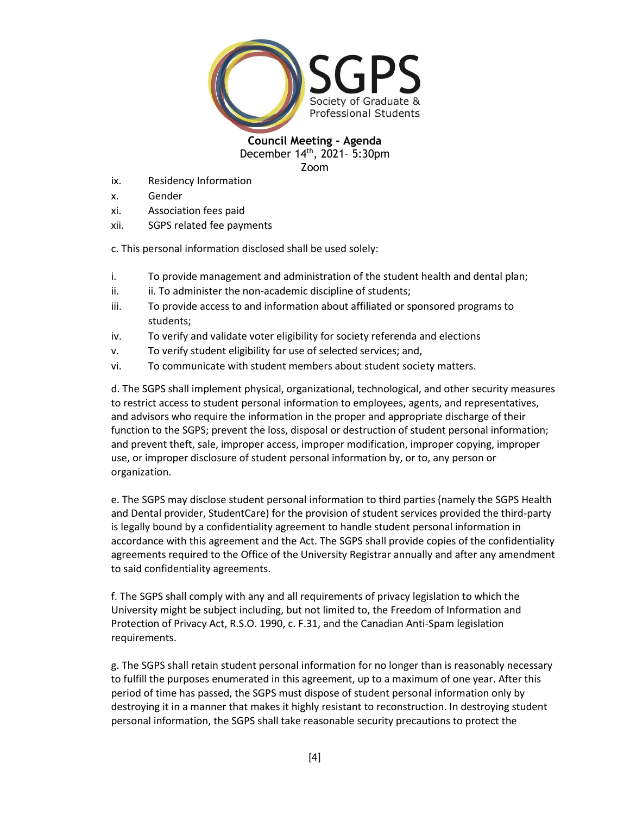

- ix. Residency Information
- x. Gender
- xi. Association fees paid
- xii. SGPS related fee payments

c. This personal information disclosed shall be used solely:

- i. To provide management and administration of the student health and dental plan;
- ii. ii. To administer the non-academic discipline of students;
- iii. To provide access to and information about affiliated or sponsored programs to students;
- iv. To verify and validate voter eligibility for society referenda and elections
- v. To verify student eligibility for use of selected services; and,
- vi. To communicate with student members about student society matters.

d. The SGPS shall implement physical, organizational, technological, and other security measures to restrict access to student personal information to employees, agents, and representatives, and advisors who require the information in the proper and appropriate discharge of their function to the SGPS; prevent the loss, disposal or destruction of student personal information; and prevent theft, sale, improper access, improper modification, improper copying, improper use, or improper disclosure of student personal information by, or to, any person or organization.

e. The SGPS may disclose student personal information to third parties (namely the SGPS Health and Dental provider, StudentCare) for the provision of student services provided the third-party is legally bound by a confidentiality agreement to handle student personal information in accordance with this agreement and the Act. The SGPS shall provide copies of the confidentiality agreements required to the Office of the University Registrar annually and after any amendment to said confidentiality agreements.

f. The SGPS shall comply with any and all requirements of privacy legislation to which the University might be subject including, but not limited to, the Freedom of Information and Protection of Privacy Act, R.S.O. 1990, c. F.31, and the Canadian Anti-Spam legislation requirements.

g. The SGPS shall retain student personal information for no longer than is reasonably necessary to fulfill the purposes enumerated in this agreement, up to a maximum of one year. After this period of time has passed, the SGPS must dispose of student personal information only by destroying it in a manner that makes it highly resistant to reconstruction. In destroying student personal information, the SGPS shall take reasonable security precautions to protect the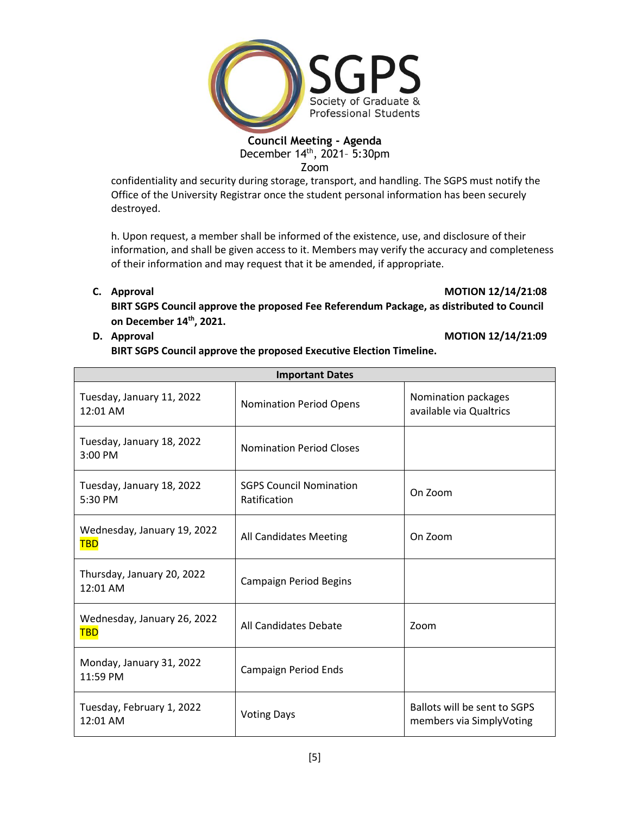

Zoom

confidentiality and security during storage, transport, and handling. The SGPS must notify the Office of the University Registrar once the student personal information has been securely destroyed.

h. Upon request, a member shall be informed of the existence, use, and disclosure of their information, and shall be given access to it. Members may verify the accuracy and completeness of their information and may request that it be amended, if appropriate.

## **C. Approval MOTION 12/14/21:08**

**BIRT SGPS Council approve the proposed Fee Referendum Package, as distributed to Council on December 14th, 2021.**

## **D. Approval MOTION 12/14/21:09**

**BIRT SGPS Council approve the proposed Executive Election Timeline.**

| <b>Important Dates</b>                    |                                                           |                                                          |  |  |
|-------------------------------------------|-----------------------------------------------------------|----------------------------------------------------------|--|--|
| Tuesday, January 11, 2022<br>$12:01$ AM   | <b>Nomination Period Opens</b>                            | Nomination packages<br>available via Qualtrics           |  |  |
| Tuesday, January 18, 2022<br>$3:00$ PM    | <b>Nomination Period Closes</b>                           |                                                          |  |  |
| Tuesday, January 18, 2022<br>5:30 PM      | <b>SGPS Council Nomination</b><br>On Zoom<br>Ratification |                                                          |  |  |
| Wednesday, January 19, 2022<br><b>TBD</b> | All Candidates Meeting                                    | On Zoom                                                  |  |  |
| Thursday, January 20, 2022<br>12:01 AM    | <b>Campaign Period Begins</b>                             |                                                          |  |  |
| Wednesday, January 26, 2022<br><b>TBD</b> | All Candidates Debate                                     | Zoom                                                     |  |  |
| Monday, January 31, 2022<br>11:59 PM      | Campaign Period Ends                                      |                                                          |  |  |
| Tuesday, February 1, 2022<br>12:01 AM     | <b>Voting Days</b>                                        | Ballots will be sent to SGPS<br>members via SimplyVoting |  |  |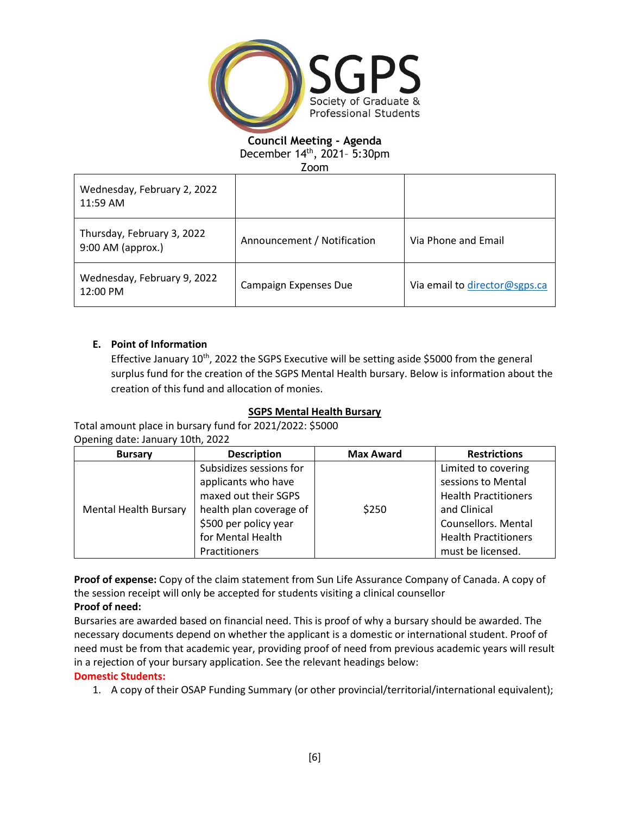

Zoom

| Wednesday, February 2, 2022<br>11:59 AM           |                             |                               |
|---------------------------------------------------|-----------------------------|-------------------------------|
| Thursday, February 3, 2022<br>$9:00$ AM (approx.) | Announcement / Notification | Via Phone and Email           |
| Wednesday, February 9, 2022<br>12:00 PM           | Campaign Expenses Due       | Via email to director@sgps.ca |

## **E. Point of Information**

Effective January  $10^{th}$ , 2022 the SGPS Executive will be setting aside \$5000 from the general surplus fund for the creation of the SGPS Mental Health bursary. Below is information about the creation of this fund and allocation of monies.

## **SGPS Mental Health Bursary**

Total amount place in bursary fund for 2021/2022: \$5000 Opening date: January 10th, 2022

| <b>Bursary</b>               | <b>Description</b>                                                                                                                              | <b>Max Award</b> | <b>Restrictions</b>                                                                                                                            |
|------------------------------|-------------------------------------------------------------------------------------------------------------------------------------------------|------------------|------------------------------------------------------------------------------------------------------------------------------------------------|
| <b>Mental Health Bursary</b> | Subsidizes sessions for<br>applicants who have<br>maxed out their SGPS<br>health plan coverage of<br>\$500 per policy year<br>for Mental Health | \$250            | Limited to covering<br>sessions to Mental<br><b>Health Practitioners</b><br>and Clinical<br>Counsellors. Mental<br><b>Health Practitioners</b> |
|                              | Practitioners                                                                                                                                   |                  | must be licensed.                                                                                                                              |

**Proof of expense:** Copy of the claim statement from Sun Life Assurance Company of Canada. A copy of the session receipt will only be accepted for students visiting a clinical counsellor **Proof of need:**

Bursaries are awarded based on financial need. This is proof of why a bursary should be awarded. The necessary documents depend on whether the applicant is a domestic or international student. Proof of need must be from that academic year, providing proof of need from previous academic years will result in a rejection of your bursary application. See the relevant headings below:

## **Domestic Students:**

1. A copy of their OSAP Funding Summary (or other provincial/territorial/international equivalent);